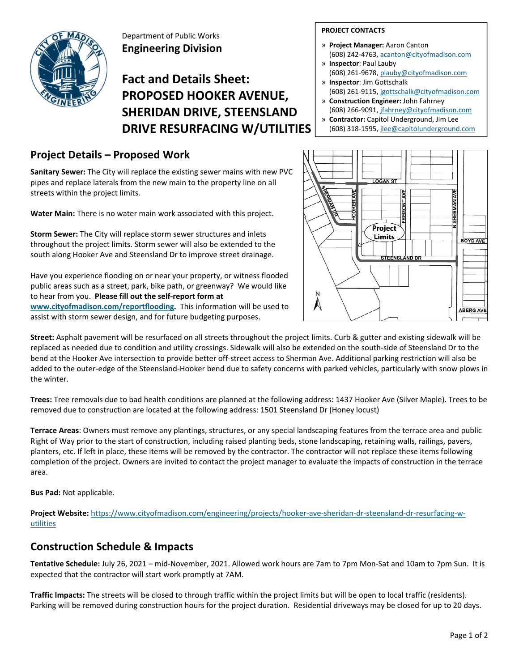

Department of Public Works **Engineering Division**

# **Fact and Details Sheet: PROPOSED HOOKER AVENUE, SHERIDAN DRIVE, STEENSLAND DRIVE RESURFACING W/UTILITIES**

### **Project Details – Proposed Work**

**Sanitary Sewer:** The City will replace the existing sewer mains with new PVC pipes and replace laterals from the new main to the property line on all streets within the project limits.

**Water Main:** There is no water main work associated with this project.

**Storm Sewer:** The City will replace storm sewer structures and inlets throughout the project limits. Storm sewer will also be extended to the south along Hooker Ave and Steensland Dr to improve street drainage.

Have you experience flooding on or near your property, or witness flooded public areas such as a street, park, bike path, or greenway? We would like to hear from you. **Please fill out the self‐report form at www.cityofmadison.com/reportflooding.** This information will be used to assist with storm sewer design, and for future budgeting purposes.

#### **PROJECT CONTACTS**

- » **Project Manager:** Aaron Canton (608) 242‐4763, acanton@cityofmadison.com
- » **Inspector**: Paul Lauby
- (608) 261‐9678, plauby@cityofmadison.com » **Inspector**: Jim Gottschalk
- (608) 261‐9115, jgottschalk@cityofmadison.com
- » **Construction Engineer:** John Fahrney (608) 266‐9091, jfahrney@cityofmadison.com
- » **Contractor:** Capitol Underground, Jim Lee
- (608) 318‐1595, jlee@capitolunderground.com



**Street:** Asphalt pavement will be resurfaced on all streets throughout the project limits. Curb & gutter and existing sidewalk will be replaced as needed due to condition and utility crossings. Sidewalk will also be extended on the south‐side of Steensland Dr to the bend at the Hooker Ave intersection to provide better off‐street access to Sherman Ave. Additional parking restriction will also be added to the outer‐edge of the Steensland‐Hooker bend due to safety concerns with parked vehicles, particularly with snow plows in the winter.

**Trees:** Tree removals due to bad health conditions are planned at the following address: 1437 Hooker Ave (Silver Maple). Trees to be removed due to construction are located at the following address: 1501 Steensland Dr (Honey locust)

**Terrace Areas**: Owners must remove any plantings, structures, or any special landscaping features from the terrace area and public Right of Way prior to the start of construction, including raised planting beds, stone landscaping, retaining walls, railings, pavers, planters, etc. If left in place, these items will be removed by the contractor. The contractor will not replace these items following completion of the project. Owners are invited to contact the project manager to evaluate the impacts of construction in the terrace area.

**Bus Pad:** Not applicable.

Project Website: https://www.cityofmadison.com/engineering/projects/hooker-ave-sheridan-dr-steensland-dr-resurfacing-wutilities

### **Construction Schedule & Impacts**

**Tentative Schedule:** July 26, 2021 – mid‐November, 2021. Allowed work hours are 7am to 7pm Mon‐Sat and 10am to 7pm Sun. It is expected that the contractor will start work promptly at 7AM.

**Traffic Impacts:** The streets will be closed to through traffic within the project limits but will be open to local traffic (residents). Parking will be removed during construction hours for the project duration. Residential driveways may be closed for up to 20 days.